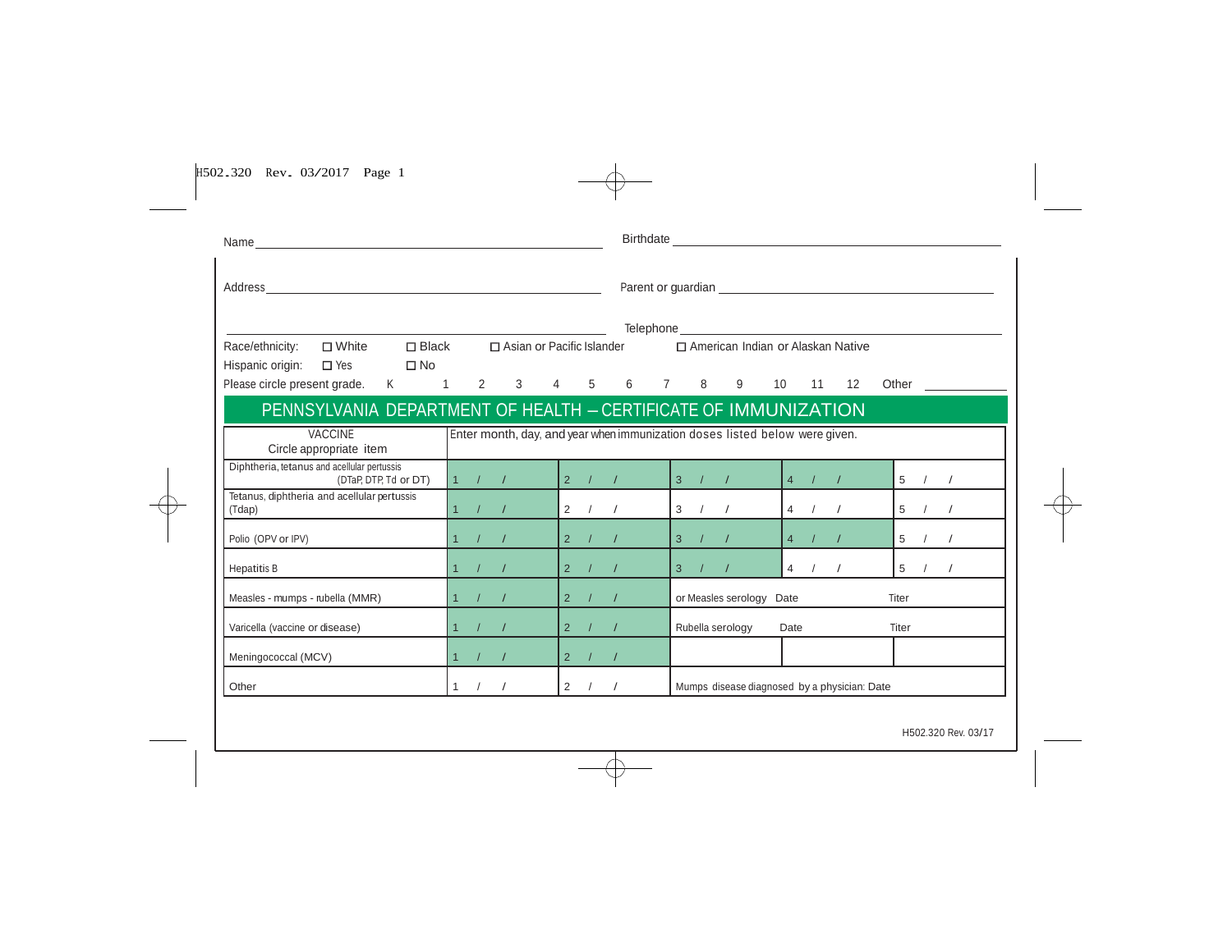| H502.320 Rev. 03/2017 Page 1 |  |  |
|------------------------------|--|--|

|                                                  |                                                                                                                                                                                                          | 1 / / |                                              |                                        | 2 / / |                                                                 | Mumps disease diagnosed by a physician: Date       |  |                                                     |  |                                                                                                                                     |                                                                                                                                                             |                |                                                                                                     |
|--------------------------------------------------|----------------------------------------------------------------------------------------------------------------------------------------------------------------------------------------------------------|-------|----------------------------------------------|----------------------------------------|-------|-----------------------------------------------------------------|----------------------------------------------------|--|-----------------------------------------------------|--|-------------------------------------------------------------------------------------------------------------------------------------|-------------------------------------------------------------------------------------------------------------------------------------------------------------|----------------|-----------------------------------------------------------------------------------------------------|
| <b>VACCINE</b><br>Varicella (vaccine or disease) | Circle appropriate item<br>Diphtheria, tetanus and acellular pertussis<br>(DTaP, DTP, Td or DT)<br>Tetanus, diphtheria and acellular pertussis<br>Measles - mumps - rubella (MMR)<br>Meningococcal (MCV) |       | 1 / 1 / 1<br>1 / 1 / 1<br>1 / 1 / 1<br>1 / I | 1 / I<br>1 / 1 / 1<br>$1$ / / $\sim$ / |       | 2 / 1<br>2 / 1 / 1<br>$\begin{vmatrix} 2 & l & l \end{vmatrix}$ | $\begin{vmatrix} 2 & l & l \end{vmatrix}$<br>2 / / |  | 3 / /<br>3 / / /<br>$3 \t/ \t/$<br>Rubella serology |  | Enter month, day, and year when immunization doses listed below were given.<br>$4$ / /<br>4 / /<br>or Measles serology Date<br>Date | □ White □ Black □ Asian or Pacific Islander □ American Indian or Alaskan Native<br>PENNSYLVANIA DEPARTMENT OF HEALTH - CERTIFICATE OF IMMUNIZATION<br>4 / / | Titer<br>Titer | Please circle present grade. K 1 2 3 4 5 6 7 8 9 10 11 12 Other<br>5 / /<br>5 / /<br>5 / /<br>5 / / |